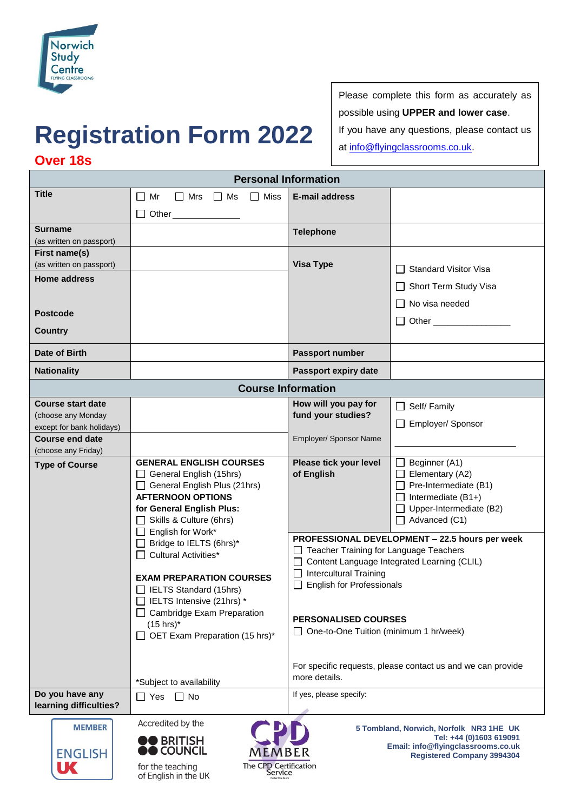

## **Registration Form 2022**

Please complete this form as accurately as possible using **UPPER and lower case**. If you have any questions, please contact us at [info@flyingclassrooms.co.uk.](info@flyingclassrooms.co.uk)

**Over 18s**

**UK** 

for the teaching of English in the UK **Personal Information**

| <b>Title</b>                                        | Mr<br>$\Box$ Mrs<br>$\Box$ Ms<br>$\Box$ Miss                                                                                                                                         | <b>E-mail address</b>                                                 |                                                                                                                             |  |
|-----------------------------------------------------|--------------------------------------------------------------------------------------------------------------------------------------------------------------------------------------|-----------------------------------------------------------------------|-----------------------------------------------------------------------------------------------------------------------------|--|
|                                                     | □ Other <u>_________</u>                                                                                                                                                             |                                                                       |                                                                                                                             |  |
| <b>Surname</b>                                      |                                                                                                                                                                                      | <b>Telephone</b>                                                      |                                                                                                                             |  |
| (as written on passport)                            |                                                                                                                                                                                      |                                                                       |                                                                                                                             |  |
| First name(s)                                       |                                                                                                                                                                                      |                                                                       |                                                                                                                             |  |
| (as written on passport)                            |                                                                                                                                                                                      | <b>Visa Type</b>                                                      | <b>Standard Visitor Visa</b>                                                                                                |  |
| <b>Home address</b>                                 |                                                                                                                                                                                      |                                                                       | Short Term Study Visa                                                                                                       |  |
|                                                     |                                                                                                                                                                                      |                                                                       | No visa needed                                                                                                              |  |
| <b>Postcode</b>                                     |                                                                                                                                                                                      |                                                                       | □ Other ______________                                                                                                      |  |
| <b>Country</b>                                      |                                                                                                                                                                                      |                                                                       |                                                                                                                             |  |
| Date of Birth                                       |                                                                                                                                                                                      | Passport number                                                       |                                                                                                                             |  |
| <b>Nationality</b>                                  |                                                                                                                                                                                      | Passport expiry date                                                  |                                                                                                                             |  |
| <b>Course Information</b>                           |                                                                                                                                                                                      |                                                                       |                                                                                                                             |  |
| <b>Course start date</b>                            |                                                                                                                                                                                      | How will you pay for                                                  | $\Box$ Self/ Family                                                                                                         |  |
| (choose any Monday                                  |                                                                                                                                                                                      | fund your studies?                                                    | Employer/ Sponsor                                                                                                           |  |
| except for bank holidays)<br><b>Course end date</b> |                                                                                                                                                                                      | Employer/ Sponsor Name                                                |                                                                                                                             |  |
| (choose any Friday)                                 |                                                                                                                                                                                      |                                                                       |                                                                                                                             |  |
| <b>Type of Course</b>                               | <b>GENERAL ENGLISH COURSES</b><br>General English (15hrs)<br>$\Box$ General English Plus (21hrs)<br><b>AFTERNOON OPTIONS</b><br>for General English Plus:<br>Skills & Culture (6hrs) | Please tick your level<br>of English                                  | Beginner (A1)<br>Elementary (A2)<br>Pre-Intermediate (B1)<br>Intermediate (B1+)<br>Upper-Intermediate (B2)<br>Advanced (C1) |  |
|                                                     | $\Box$ English for Work*<br>□ Bridge to IELTS (6hrs)*                                                                                                                                |                                                                       | PROFESSIONAL DEVELOPMENT - 22.5 hours per week                                                                              |  |
|                                                     | Teacher Training for Language Teachers<br>$\Box$ Cultural Activities*                                                                                                                |                                                                       |                                                                                                                             |  |
|                                                     |                                                                                                                                                                                      | Content Language Integrated Learning (CLIL)                           |                                                                                                                             |  |
|                                                     | <b>EXAM PREPARATION COURSES</b>                                                                                                                                                      | <b>Intercultural Training</b><br>English for Professionals            |                                                                                                                             |  |
|                                                     | □ IELTS Standard (15hrs)<br>□ IELTS Intensive (21hrs) *<br><b>Cambridge Exam Preparation</b><br>$(15 \text{ hrs})^*$<br>$\Box$ OET Exam Preparation (15 hrs)*                        | <b>PERSONALISED COURSES</b><br>One-to-One Tuition (minimum 1 hr/week) |                                                                                                                             |  |
|                                                     | *Subject to availability                                                                                                                                                             | more details.                                                         | For specific requests, please contact us and we can provide                                                                 |  |
| Do you have any                                     | $\Box$ Yes $\Box$ No                                                                                                                                                                 | If yes, please specify:                                               |                                                                                                                             |  |
| learning difficulties?                              |                                                                                                                                                                                      |                                                                       |                                                                                                                             |  |
| <b>MEMBER</b>                                       | Accredited by the                                                                                                                                                                    | 5 Tombland, Norwich, Norfolk NR3 1HE UK<br>Tel: +44 (0)1603 619091    |                                                                                                                             |  |
| <b>ENGLISH</b>                                      | $\bullet$ BRITISH<br><b>COUNCIL</b><br>MEMBER                                                                                                                                        |                                                                       | Email: info@flyingclassrooms.co.uk<br><b>Registered Company 3994304</b>                                                     |  |